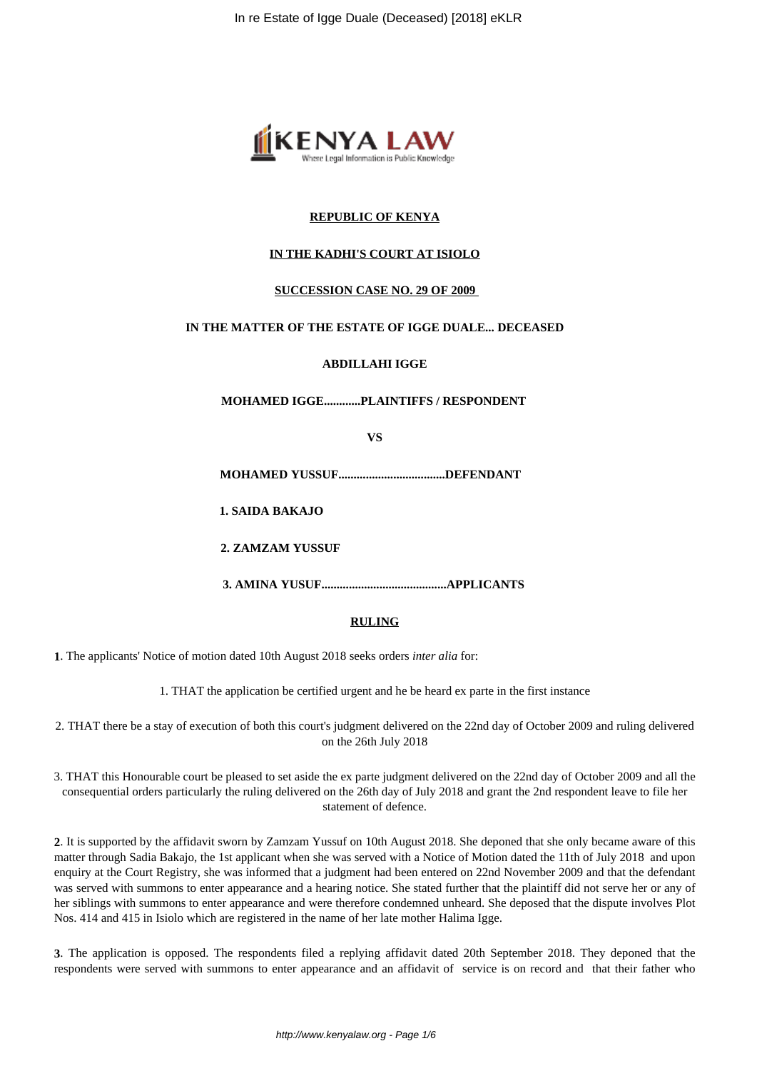

# **REPUBLIC OF KENYA**

# **IN THE KADHI'S COURT AT ISIOLO**

## **SUCCESSION CASE NO. 29 OF 2009**

## **IN THE MATTER OF THE ESTATE OF IGGE DUALE... DECEASED**

## **ABDILLAHI IGGE**

**MOHAMED IGGE............PLAINTIFFS / RESPONDENT** 

**VS**

**MOHAMED YUSSUF...................................DEFENDANT**

**1. SAIDA BAKAJO**

**2. ZAMZAM YUSSUF**

**3. AMINA YUSUF.........................................APPLICANTS** 

## **RULING**

**1**. The applicants' Notice of motion dated 10th August 2018 seeks orders *inter alia* for:

1. THAT the application be certified urgent and he be heard ex parte in the first instance

2. THAT there be a stay of execution of both this court's judgment delivered on the 22nd day of October 2009 and ruling delivered on the 26th July 2018

3. THAT this Honourable court be pleased to set aside the ex parte judgment delivered on the 22nd day of October 2009 and all the consequential orders particularly the ruling delivered on the 26th day of July 2018 and grant the 2nd respondent leave to file her statement of defence.

**2**. It is supported by the affidavit sworn by Zamzam Yussuf on 10th August 2018. She deponed that she only became aware of this matter through Sadia Bakajo, the 1st applicant when she was served with a Notice of Motion dated the 11th of July 2018 and upon enquiry at the Court Registry, she was informed that a judgment had been entered on 22nd November 2009 and that the defendant was served with summons to enter appearance and a hearing notice. She stated further that the plaintiff did not serve her or any of her siblings with summons to enter appearance and were therefore condemned unheard. She deposed that the dispute involves Plot Nos. 414 and 415 in Isiolo which are registered in the name of her late mother Halima Igge.

**3**. The application is opposed. The respondents filed a replying affidavit dated 20th September 2018. They deponed that the respondents were served with summons to enter appearance and an affidavit of service is on record and that their father who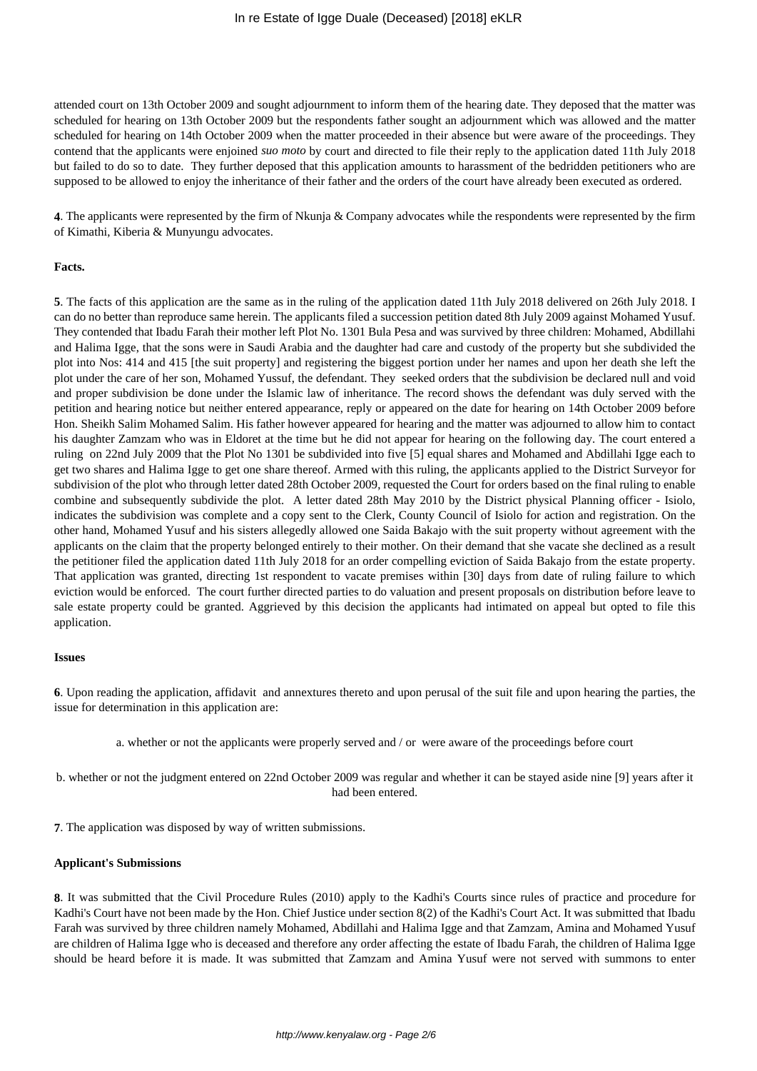attended court on 13th October 2009 and sought adjournment to inform them of the hearing date. They deposed that the matter was scheduled for hearing on 13th October 2009 but the respondents father sought an adjournment which was allowed and the matter scheduled for hearing on 14th October 2009 when the matter proceeded in their absence but were aware of the proceedings. They contend that the applicants were enjoined *suo moto* by court and directed to file their reply to the application dated 11th July 2018 but failed to do so to date. They further deposed that this application amounts to harassment of the bedridden petitioners who are supposed to be allowed to enjoy the inheritance of their father and the orders of the court have already been executed as ordered.

**4**. The applicants were represented by the firm of Nkunja & Company advocates while the respondents were represented by the firm of Kimathi, Kiberia & Munyungu advocates.

#### **Facts.**

**5**. The facts of this application are the same as in the ruling of the application dated 11th July 2018 delivered on 26th July 2018. I can do no better than reproduce same herein. The applicants filed a succession petition dated 8th July 2009 against Mohamed Yusuf. They contended that Ibadu Farah their mother left Plot No. 1301 Bula Pesa and was survived by three children: Mohamed, Abdillahi and Halima Igge, that the sons were in Saudi Arabia and the daughter had care and custody of the property but she subdivided the plot into Nos: 414 and 415 [the suit property] and registering the biggest portion under her names and upon her death she left the plot under the care of her son, Mohamed Yussuf, the defendant. They seeked orders that the subdivision be declared null and void and proper subdivision be done under the Islamic law of inheritance. The record shows the defendant was duly served with the petition and hearing notice but neither entered appearance, reply or appeared on the date for hearing on 14th October 2009 before Hon. Sheikh Salim Mohamed Salim. His father however appeared for hearing and the matter was adjourned to allow him to contact his daughter Zamzam who was in Eldoret at the time but he did not appear for hearing on the following day. The court entered a ruling on 22nd July 2009 that the Plot No 1301 be subdivided into five [5] equal shares and Mohamed and Abdillahi Igge each to get two shares and Halima Igge to get one share thereof. Armed with this ruling, the applicants applied to the District Surveyor for subdivision of the plot who through letter dated 28th October 2009, requested the Court for orders based on the final ruling to enable combine and subsequently subdivide the plot. A letter dated 28th May 2010 by the District physical Planning officer - Isiolo, indicates the subdivision was complete and a copy sent to the Clerk, County Council of Isiolo for action and registration. On the other hand, Mohamed Yusuf and his sisters allegedly allowed one Saida Bakajo with the suit property without agreement with the applicants on the claim that the property belonged entirely to their mother. On their demand that she vacate she declined as a result the petitioner filed the application dated 11th July 2018 for an order compelling eviction of Saida Bakajo from the estate property. That application was granted, directing 1st respondent to vacate premises within [30] days from date of ruling failure to which eviction would be enforced. The court further directed parties to do valuation and present proposals on distribution before leave to sale estate property could be granted. Aggrieved by this decision the applicants had intimated on appeal but opted to file this application.

#### **Issues**

**6**. Upon reading the application, affidavit and annextures thereto and upon perusal of the suit file and upon hearing the parties, the issue for determination in this application are:

a. whether or not the applicants were properly served and / or were aware of the proceedings before court

b. whether or not the judgment entered on 22nd October 2009 was regular and whether it can be stayed aside nine [9] years after it had been entered.

**7**. The application was disposed by way of written submissions.

#### **Applicant's Submissions**

**8**. It was submitted that the Civil Procedure Rules (2010) apply to the Kadhi's Courts since rules of practice and procedure for Kadhi's Court have not been made by the Hon. Chief Justice under section 8(2) of the Kadhi's Court Act. It was submitted that Ibadu Farah was survived by three children namely Mohamed, Abdillahi and Halima Igge and that Zamzam, Amina and Mohamed Yusuf are children of Halima Igge who is deceased and therefore any order affecting the estate of Ibadu Farah, the children of Halima Igge should be heard before it is made. It was submitted that Zamzam and Amina Yusuf were not served with summons to enter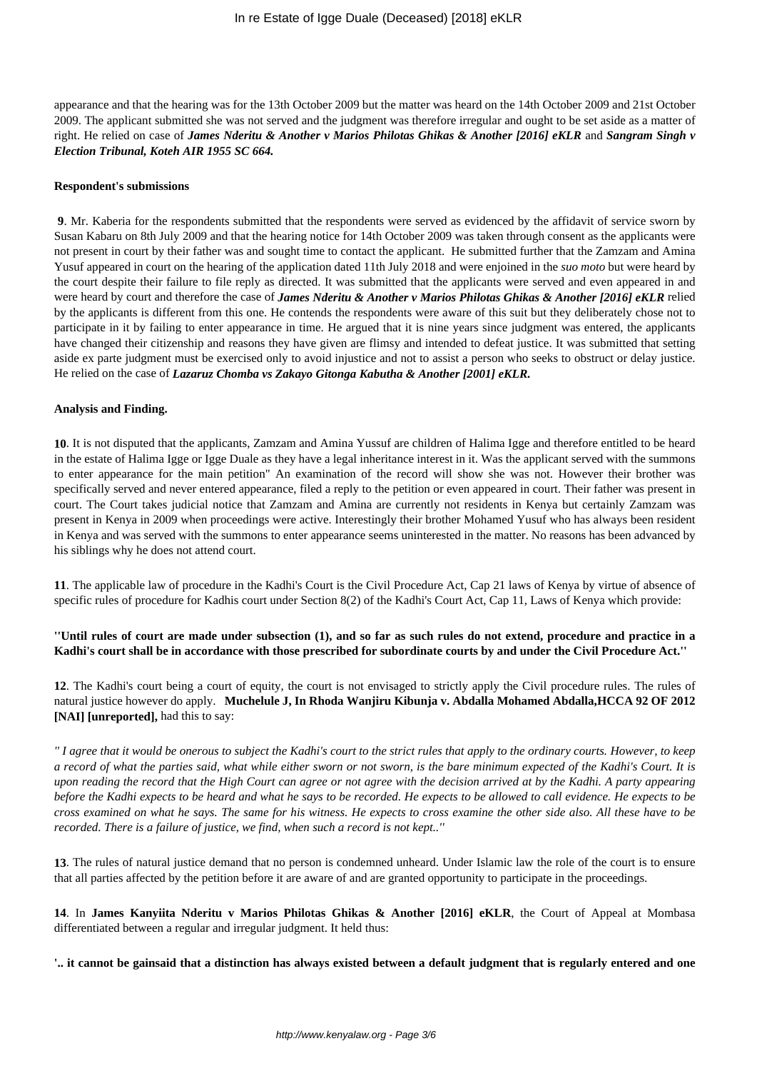appearance and that the hearing was for the 13th October 2009 but the matter was heard on the 14th October 2009 and 21st October 2009. The applicant submitted she was not served and the judgment was therefore irregular and ought to be set aside as a matter of right. He relied on case of *James Nderitu & Another v Marios Philotas Ghikas & Another [2016] eKLR* and *Sangram Singh v Election Tribunal, Koteh AIR 1955 SC 664.* 

#### **Respondent's submissions**

**9**. Mr. Kaberia for the respondents submitted that the respondents were served as evidenced by the affidavit of service sworn by Susan Kabaru on 8th July 2009 and that the hearing notice for 14th October 2009 was taken through consent as the applicants were not present in court by their father was and sought time to contact the applicant. He submitted further that the Zamzam and Amina Yusuf appeared in court on the hearing of the application dated 11th July 2018 and were enjoined in the *suo moto* but were heard by the court despite their failure to file reply as directed. It was submitted that the applicants were served and even appeared in and were heard by court and therefore the case of *James Nderitu & Another v Marios Philotas Ghikas & Another [2016] eKLR* relied by the applicants is different from this one. He contends the respondents were aware of this suit but they deliberately chose not to participate in it by failing to enter appearance in time. He argued that it is nine years since judgment was entered, the applicants have changed their citizenship and reasons they have given are flimsy and intended to defeat justice. It was submitted that setting aside ex parte judgment must be exercised only to avoid injustice and not to assist a person who seeks to obstruct or delay justice. He relied on the case of *Lazaruz Chomba vs Zakayo Gitonga Kabutha & Another [2001] eKLR.* 

#### **Analysis and Finding.**

**10**. It is not disputed that the applicants, Zamzam and Amina Yussuf are children of Halima Igge and therefore entitled to be heard in the estate of Halima Igge or Igge Duale as they have a legal inheritance interest in it. Was the applicant served with the summons to enter appearance for the main petition" An examination of the record will show she was not. However their brother was specifically served and never entered appearance, filed a reply to the petition or even appeared in court. Their father was present in court. The Court takes judicial notice that Zamzam and Amina are currently not residents in Kenya but certainly Zamzam was present in Kenya in 2009 when proceedings were active. Interestingly their brother Mohamed Yusuf who has always been resident in Kenya and was served with the summons to enter appearance seems uninterested in the matter. No reasons has been advanced by his siblings why he does not attend court.

**11**. The applicable law of procedure in the Kadhi's Court is the Civil Procedure Act, Cap 21 laws of Kenya by virtue of absence of specific rules of procedure for Kadhis court under Section 8(2) of the Kadhi's Court Act, Cap 11, Laws of Kenya which provide:

**''Until rules of court are made under subsection (1), and so far as such rules do not extend, procedure and practice in a Kadhi's court shall be in accordance with those prescribed for subordinate courts by and under the Civil Procedure Act.''**

**12**. The Kadhi's court being a court of equity, the court is not envisaged to strictly apply the Civil procedure rules. The rules of natural justice however do apply. **Muchelule J, In Rhoda Wanjiru Kibunja v. Abdalla Mohamed Abdalla,HCCA 92 OF 2012 [NAI] [unreported],** had this to say:

*'' I agree that it would be onerous to subject the Kadhi's court to the strict rules that apply to the ordinary courts. However, to keep a record of what the parties said, what while either sworn or not sworn, is the bare minimum expected of the Kadhi's Court. It is upon reading the record that the High Court can agree or not agree with the decision arrived at by the Kadhi. A party appearing before the Kadhi expects to be heard and what he says to be recorded. He expects to be allowed to call evidence. He expects to be cross examined on what he says. The same for his witness. He expects to cross examine the other side also. All these have to be recorded. There is a failure of justice, we find, when such a record is not kept..''*

**13**. The rules of natural justice demand that no person is condemned unheard. Under Islamic law the role of the court is to ensure that all parties affected by the petition before it are aware of and are granted opportunity to participate in the proceedings.

**14**. In **James Kanyiita Nderitu v Marios Philotas Ghikas & Another [2016] eKLR**, the Court of Appeal at Mombasa differentiated between a regular and irregular judgment. It held thus:

**'.. it cannot be gainsaid that a distinction has always existed between a default judgment that is regularly entered and one**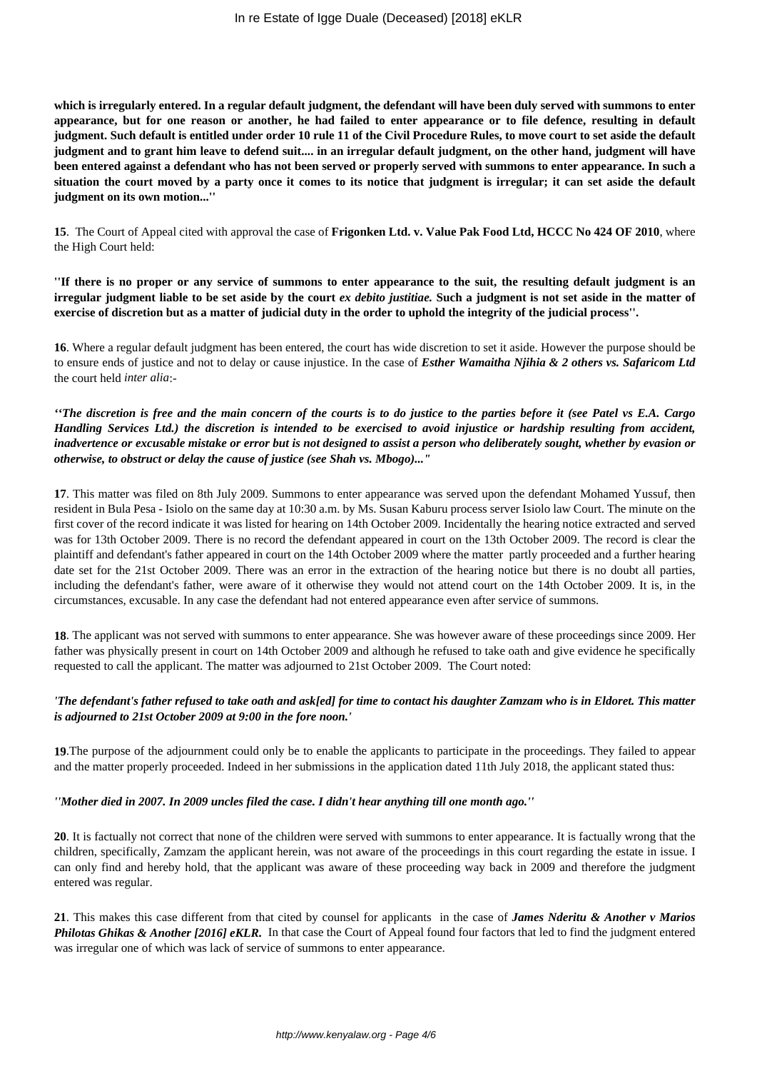**which is irregularly entered. In a regular default judgment, the defendant will have been duly served with summons to enter appearance, but for one reason or another, he had failed to enter appearance or to file defence, resulting in default judgment. Such default is entitled under order 10 rule 11 of the Civil Procedure Rules, to move court to set aside the default judgment and to grant him leave to defend suit.... in an irregular default judgment, on the other hand, judgment will have been entered against a defendant who has not been served or properly served with summons to enter appearance. In such a situation the court moved by a party once it comes to its notice that judgment is irregular; it can set aside the default judgment on its own motion...''**

**15**. The Court of Appeal cited with approval the case of **Frigonken Ltd. v. Value Pak Food Ltd, HCCC No 424 OF 2010**, where the High Court held:

**''If there is no proper or any service of summons to enter appearance to the suit, the resulting default judgment is an irregular judgment liable to be set aside by the court** *ex debito justitiae.* **Such a judgment is not set aside in the matter of exercise of discretion but as a matter of judicial duty in the order to uphold the integrity of the judicial process''.** 

**16**. Where a regular default judgment has been entered, the court has wide discretion to set it aside. However the purpose should be to ensure ends of justice and not to delay or cause injustice. In the case of *Esther Wamaitha Njihia & 2 others vs. Safaricom Ltd* the court held *inter alia*:-

*''The discretion is free and the main concern of the courts is to do justice to the parties before it (see Patel vs E.A. Cargo Handling Services Ltd.) the discretion is intended to be exercised to avoid injustice or hardship resulting from accident, inadvertence or excusable mistake or error but is not designed to assist a person who deliberately sought, whether by evasion or otherwise, to obstruct or delay the cause of justice (see Shah vs. Mbogo)..."*

**17**. This matter was filed on 8th July 2009. Summons to enter appearance was served upon the defendant Mohamed Yussuf, then resident in Bula Pesa - Isiolo on the same day at 10:30 a.m. by Ms. Susan Kaburu process server Isiolo law Court. The minute on the first cover of the record indicate it was listed for hearing on 14th October 2009. Incidentally the hearing notice extracted and served was for 13th October 2009. There is no record the defendant appeared in court on the 13th October 2009. The record is clear the plaintiff and defendant's father appeared in court on the 14th October 2009 where the matter partly proceeded and a further hearing date set for the 21st October 2009. There was an error in the extraction of the hearing notice but there is no doubt all parties, including the defendant's father, were aware of it otherwise they would not attend court on the 14th October 2009. It is, in the circumstances, excusable. In any case the defendant had not entered appearance even after service of summons.

**18**. The applicant was not served with summons to enter appearance. She was however aware of these proceedings since 2009. Her father was physically present in court on 14th October 2009 and although he refused to take oath and give evidence he specifically requested to call the applicant. The matter was adjourned to 21st October 2009. The Court noted:

## *'The defendant's father refused to take oath and ask[ed] for time to contact his daughter Zamzam who is in Eldoret. This matter is adjourned to 21st October 2009 at 9:00 in the fore noon.'*

**19**.The purpose of the adjournment could only be to enable the applicants to participate in the proceedings. They failed to appear and the matter properly proceeded. Indeed in her submissions in the application dated 11th July 2018, the applicant stated thus:

## *''Mother died in 2007. In 2009 uncles filed the case. I didn't hear anything till one month ago.''*

**20**. It is factually not correct that none of the children were served with summons to enter appearance. It is factually wrong that the children, specifically, Zamzam the applicant herein, was not aware of the proceedings in this court regarding the estate in issue. I can only find and hereby hold, that the applicant was aware of these proceeding way back in 2009 and therefore the judgment entered was regular.

**21**. This makes this case different from that cited by counsel for applicants in the case of *James Nderitu & Another v Marios Philotas Ghikas & Another [2016] eKLR.* In that case the Court of Appeal found four factors that led to find the judgment entered was irregular one of which was lack of service of summons to enter appearance.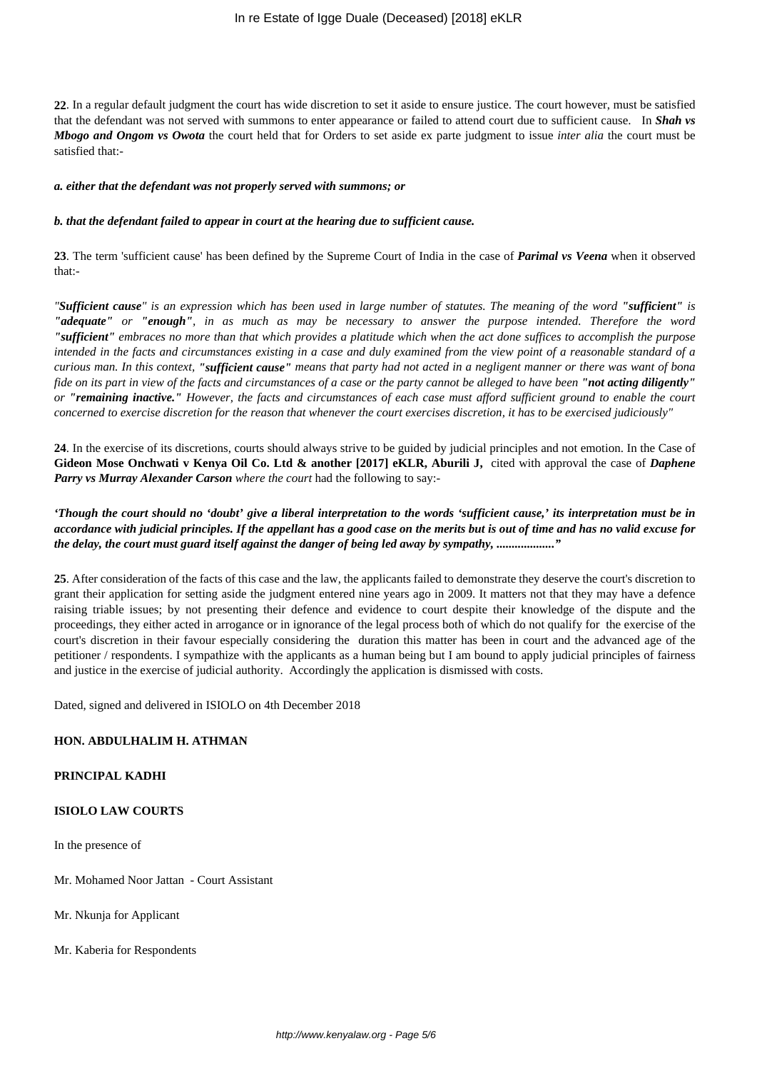**22**. In a regular default judgment the court has wide discretion to set it aside to ensure justice. The court however, must be satisfied that the defendant was not served with summons to enter appearance or failed to attend court due to sufficient cause. In *Shah vs Mbogo and Ongom vs Owota* the court held that for Orders to set aside ex parte judgment to issue *inter alia* the court must be satisfied that:-

#### *a. either that the defendant was not properly served with summons; or*

#### *b. that the defendant failed to appear in court at the hearing due to sufficient cause.*

**23**. The term 'sufficient cause' has been defined by the Supreme Court of India in the case of *Parimal vs Veena* when it observed that:-

*"Sufficient cause" is an expression which has been used in large number of statutes. The meaning of the word "sufficient" is "adequate" or "enough", in as much as may be necessary to answer the purpose intended. Therefore the word "sufficient" embraces no more than that which provides a platitude which when the act done suffices to accomplish the purpose intended in the facts and circumstances existing in a case and duly examined from the view point of a reasonable standard of a curious man. In this context, "sufficient cause" means that party had not acted in a negligent manner or there was want of bona fide on its part in view of the facts and circumstances of a case or the party cannot be alleged to have been "not acting diligently" or "remaining inactive." However, the facts and circumstances of each case must afford sufficient ground to enable the court concerned to exercise discretion for the reason that whenever the court exercises discretion, it has to be exercised judiciously"*

**24**. In the exercise of its discretions, courts should always strive to be guided by judicial principles and not emotion. In the Case of **Gideon Mose Onchwati v Kenya Oil Co. Ltd & another [2017] eKLR, Aburili J,** cited with approval the case of *Daphene Parry vs Murray Alexander Carson where the court* had the following to say:-

*'Though the court should no 'doubt' give a liberal interpretation to the words 'sufficient cause,' its interpretation must be in accordance with judicial principles. If the appellant has a good case on the merits but is out of time and has no valid excuse for the delay, the court must guard itself against the danger of being led away by sympathy, ..................."*

**25**. After consideration of the facts of this case and the law, the applicants failed to demonstrate they deserve the court's discretion to grant their application for setting aside the judgment entered nine years ago in 2009. It matters not that they may have a defence raising triable issues; by not presenting their defence and evidence to court despite their knowledge of the dispute and the proceedings, they either acted in arrogance or in ignorance of the legal process both of which do not qualify for the exercise of the court's discretion in their favour especially considering the duration this matter has been in court and the advanced age of the petitioner / respondents. I sympathize with the applicants as a human being but I am bound to apply judicial principles of fairness and justice in the exercise of judicial authority. Accordingly the application is dismissed with costs.

Dated, signed and delivered in ISIOLO on 4th December 2018

### **HON. ABDULHALIM H. ATHMAN**

### **PRINCIPAL KADHI**

#### **ISIOLO LAW COURTS**

In the presence of

Mr. Mohamed Noor Jattan - Court Assistant

Mr. Nkunja for Applicant

Mr. Kaberia for Respondents